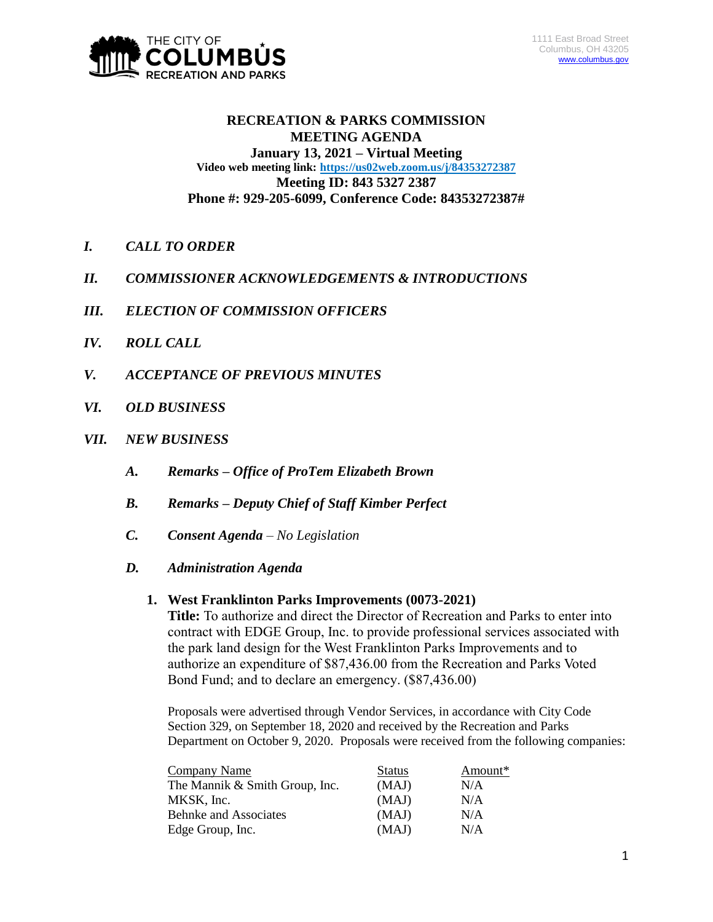

# **RECREATION & PARKS COMMISSION MEETING AGENDA January 13, 2021 – Virtual Meeting Video web meeting link: <https://us02web.zoom.us/j/84353272387> Meeting ID: 843 5327 2387 Phone #: 929-205-6099, Conference Code: 84353272387#**

- *I. CALL TO ORDER*
- *II. COMMISSIONER ACKNOWLEDGEMENTS & INTRODUCTIONS*
- *III. ELECTION OF COMMISSION OFFICERS*
- *IV. ROLL CALL*
- *V. ACCEPTANCE OF PREVIOUS MINUTES*
- *VI. OLD BUSINESS*
- *VII. NEW BUSINESS*
	- *A. Remarks – Office of ProTem Elizabeth Brown*
	- *B. Remarks – Deputy Chief of Staff Kimber Perfect*
	- *C. Consent Agenda – No Legislation*
	- *D. Administration Agenda*

#### **1. West Franklinton Parks Improvements (0073-2021)**

**Title:** To authorize and direct the Director of Recreation and Parks to enter into contract with EDGE Group, Inc. to provide professional services associated with the park land design for the West Franklinton Parks Improvements and to authorize an expenditure of \$87,436.00 from the Recreation and Parks Voted Bond Fund; and to declare an emergency. (\$87,436.00)

Proposals were advertised through Vendor Services, in accordance with City Code Section 329, on September 18, 2020 and received by the Recreation and Parks Department on October 9, 2020. Proposals were received from the following companies:

| Company Name                   | <b>Status</b> | Amount* |
|--------------------------------|---------------|---------|
| The Mannik & Smith Group, Inc. | (MAJ)         | N/A     |
| MKSK, Inc.                     | (MAJ)         | N/A     |
| <b>Behnke and Associates</b>   | (MAJ)         | N/A     |
| Edge Group, Inc.               | (MAJ)         | N/A     |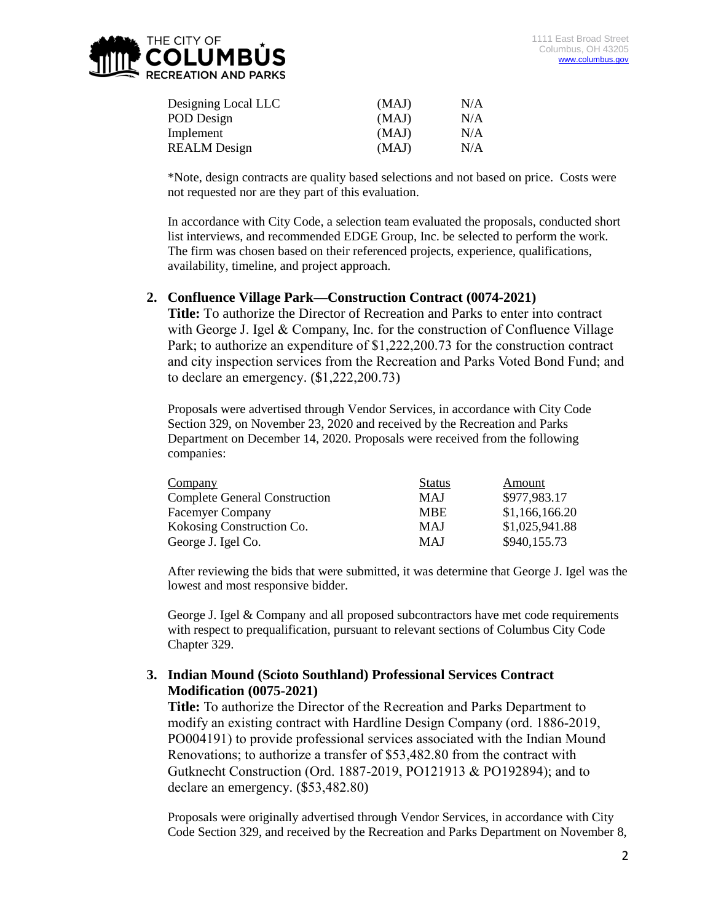

| Designing Local LLC | (MAJ) | N/A |
|---------------------|-------|-----|
| POD Design          | (MAJ) | N/A |
| Implement           | (MAJ) | N/A |
| <b>REALM</b> Design | (MAJ) | N/A |

\*Note, design contracts are quality based selections and not based on price. Costs were not requested nor are they part of this evaluation.

In accordance with City Code, a selection team evaluated the proposals, conducted short list interviews, and recommended EDGE Group, Inc. be selected to perform the work. The firm was chosen based on their referenced projects, experience, qualifications, availability, timeline, and project approach.

## **2. Confluence Village Park—Construction Contract (0074-2021)**

**Title:** To authorize the Director of Recreation and Parks to enter into contract with George J. Igel & Company, Inc. for the construction of Confluence Village Park; to authorize an expenditure of \$1,222,200.73 for the construction contract and city inspection services from the Recreation and Parks Voted Bond Fund; and to declare an emergency. (\$1,222,200.73)

Proposals were advertised through Vendor Services, in accordance with City Code Section 329, on November 23, 2020 and received by the Recreation and Parks Department on December 14, 2020. Proposals were received from the following companies:

| Company                              | <b>Status</b> | Amount         |
|--------------------------------------|---------------|----------------|
| <b>Complete General Construction</b> | <b>MAJ</b>    | \$977,983.17   |
| <b>Facemyer Company</b>              | <b>MBE</b>    | \$1,166,166.20 |
| Kokosing Construction Co.            | <b>MAJ</b>    | \$1,025,941.88 |
| George J. Igel Co.                   | <b>MAJ</b>    | \$940,155.73   |

After reviewing the bids that were submitted, it was determine that George J. Igel was the lowest and most responsive bidder.

George J. Igel & Company and all proposed subcontractors have met code requirements with respect to prequalification, pursuant to relevant sections of Columbus City Code Chapter 329.

## **3. Indian Mound (Scioto Southland) Professional Services Contract Modification (0075-2021)**

**Title:** To authorize the Director of the Recreation and Parks Department to modify an existing contract with Hardline Design Company (ord. 1886-2019, PO004191) to provide professional services associated with the Indian Mound Renovations; to authorize a transfer of \$53,482.80 from the contract with Gutknecht Construction (Ord. 1887-2019, PO121913 & PO192894); and to declare an emergency. (\$53,482.80)

Proposals were originally advertised through Vendor Services, in accordance with City Code Section 329, and received by the Recreation and Parks Department on November 8,